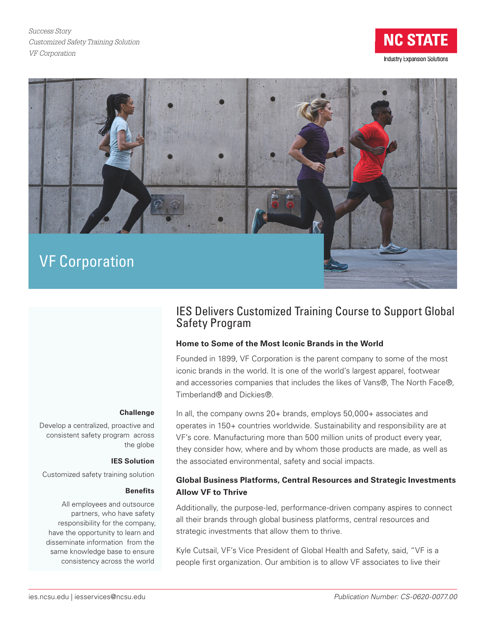*Success Story Customized Safety Training Solution VF Corporation*





# IES Delivers Customized Training Course to Support Global Safety Program

### **Home to Some of the Most Iconic Brands in the World**

Founded in 1899, VF Corporation is the parent company to some of the most iconic brands in the world. It is one of the world's largest apparel, footwear and accessories companies that includes the likes of Vans®, The North Face®, Timberland® and Dickies®.

#### **Challenge**

Develop a centralized, proactive and consistent safety program across the globe

#### **IES Solution**

Customized safety training solution

#### **Benefits**

All employees and outsource partners, who have safety responsibility for the company, have the opportunity to learn and disseminate information from the same knowledge base to ensure consistency across the world

In all, the company owns 20+ brands, employs 50,000+ associates and operates in 150+ countries worldwide. Sustainability and responsibility are at VF's core. Manufacturing more than 500 million units of product every year, they consider how, where and by whom those products are made, as well as the associated environmental, safety and social impacts.

### **Global Business Platforms, Central Resources and Strategic Investments Allow VF to Thrive**

Additionally, the purpose-led, performance-driven company aspires to connect all their brands through global business platforms, central resources and strategic investments that allow them to thrive.

Kyle Cutsail, VF's Vice President of Global Health and Safety, said, "VF is a people first organization. Our ambition is to allow VF associates to live their